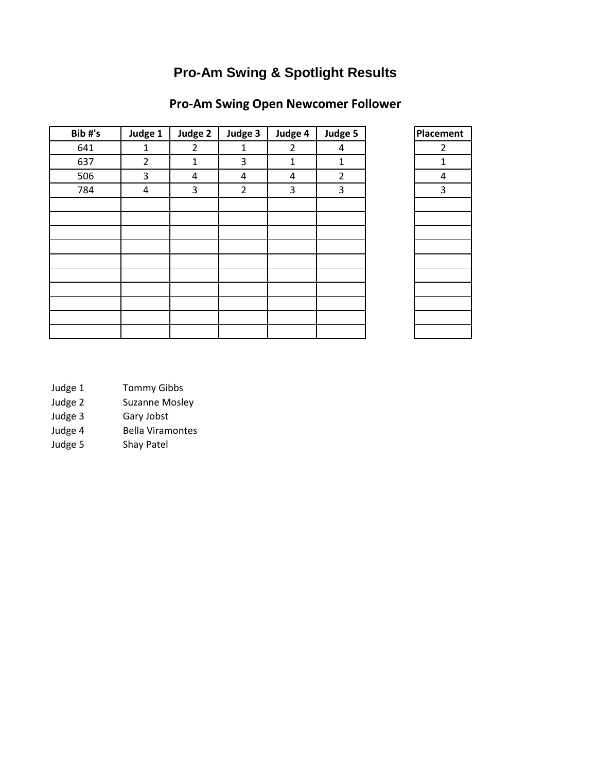## **Pro-Am Swing & Spotlight Results**

#### **Pro-Am Swing Open Newcomer Follower**

| Bib#'s | Judge 1        | Judge 2        | Judge 3        | Judge 4 | Judge 5        | Placement |
|--------|----------------|----------------|----------------|---------|----------------|-----------|
| 641    | 1              | $\overline{2}$ | 1              | 2       | 4              | 2         |
| 637    | $\overline{2}$ | $\mathbf{1}$   | 3              | 1       | 1              | 1         |
| 506    | 3              | 4              | 4              | 4       | $\overline{2}$ | 4         |
| 784    | 4              | 3              | $\overline{2}$ | 3       | 3              | 3         |
|        |                |                |                |         |                |           |
|        |                |                |                |         |                |           |
|        |                |                |                |         |                |           |
|        |                |                |                |         |                |           |
|        |                |                |                |         |                |           |
|        |                |                |                |         |                |           |
|        |                |                |                |         |                |           |
|        |                |                |                |         |                |           |
|        |                |                |                |         |                |           |
|        |                |                |                |         |                |           |

| Placement               |
|-------------------------|
| $\overline{\mathbf{c}}$ |
| $\mathbf{1}$            |
| 4                       |
| 3                       |
|                         |
|                         |
|                         |
|                         |
|                         |
|                         |
|                         |
|                         |
|                         |
|                         |

- Judge 1 Tommy Gibbs
- Judge 2 Suzanne Mosley
- Judge 3 Gary Jobst
- Judge 4 Bella Viramontes
- Judge 5 Shay Patel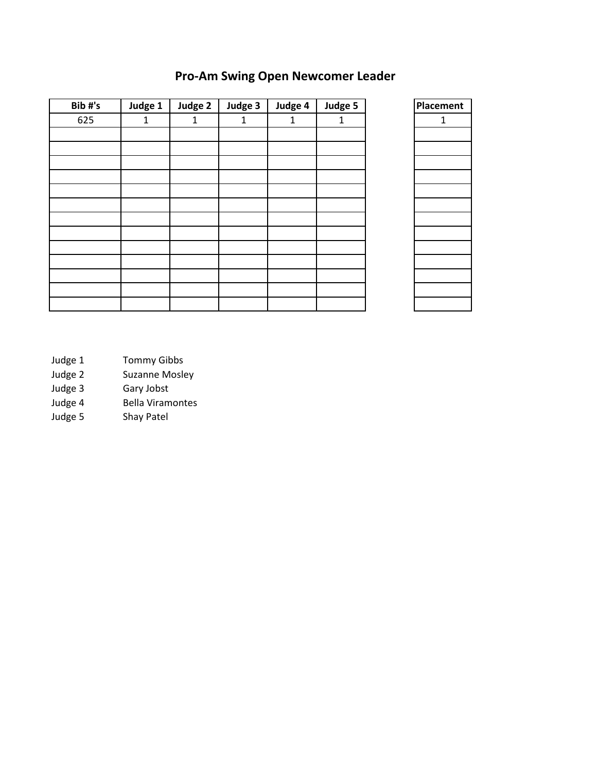### **Pro-Am Swing Open Newcomer Leader**

| Bib#'s | Judge 1 | Judge 2 | Judge 3 | Judge 4      | Judge 5 | Placen       |
|--------|---------|---------|---------|--------------|---------|--------------|
| 625    | 1       | 1       | 1       | $\mathbf{1}$ | 1       | $\mathbf{1}$ |
|        |         |         |         |              |         |              |
|        |         |         |         |              |         |              |
|        |         |         |         |              |         |              |
|        |         |         |         |              |         |              |
|        |         |         |         |              |         |              |
|        |         |         |         |              |         |              |
|        |         |         |         |              |         |              |
|        |         |         |         |              |         |              |
|        |         |         |         |              |         |              |
|        |         |         |         |              |         |              |
|        |         |         |         |              |         |              |
|        |         |         |         |              |         |              |
|        |         |         |         |              |         |              |



- Judge 1 Tommy Gibbs
- Judge 2 Suzanne Mosley<br>Judge 3 Gary Jobst
- Gary Jobst
- Judge 4 Bella Viramontes
- Judge 5 Shay Patel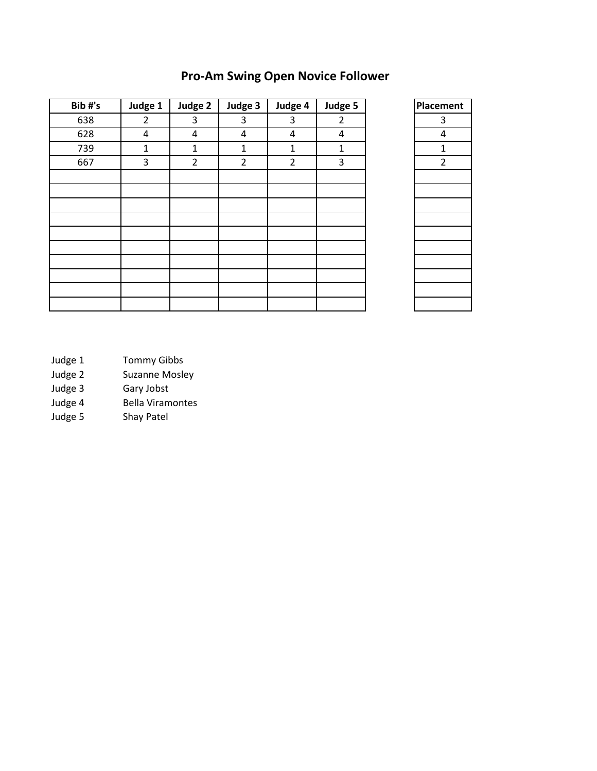| Bib#'s | Judge 1        | Judge 2        | Judge 3        | Judge 4        | Judge 5        | Placement      |
|--------|----------------|----------------|----------------|----------------|----------------|----------------|
| 638    | $\overline{2}$ | 3              | 3              | 3              | $\overline{2}$ | 3              |
| 628    | 4              | 4              | 4              | 4              | 4              | 4              |
| 739    | 1              | $\mathbf{1}$   | 1              | $\mathbf{1}$   | $\mathbf{1}$   | 1              |
| 667    | 3              | $\overline{2}$ | $\overline{2}$ | $\overline{2}$ | 3              | $\overline{2}$ |
|        |                |                |                |                |                |                |
|        |                |                |                |                |                |                |
|        |                |                |                |                |                |                |
|        |                |                |                |                |                |                |
|        |                |                |                |                |                |                |
|        |                |                |                |                |                |                |
|        |                |                |                |                |                |                |
|        |                |                |                |                |                |                |
|        |                |                |                |                |                |                |
|        |                |                |                |                |                |                |

### **Pro-Am Swing Open Novice Follower**

| Placement     |
|---------------|
| 3             |
| 4             |
| $\frac{1}{2}$ |
|               |
|               |
|               |
|               |
|               |
|               |
|               |
|               |
|               |
|               |
|               |
|               |

- Judge 1 Tommy Gibbs
- Judge 2 Suzanne Mosley<br>Judge 3 Gary Jobst
- Gary Jobst
- Judge 4 Bella Viramontes
- Judge 5 Shay Patel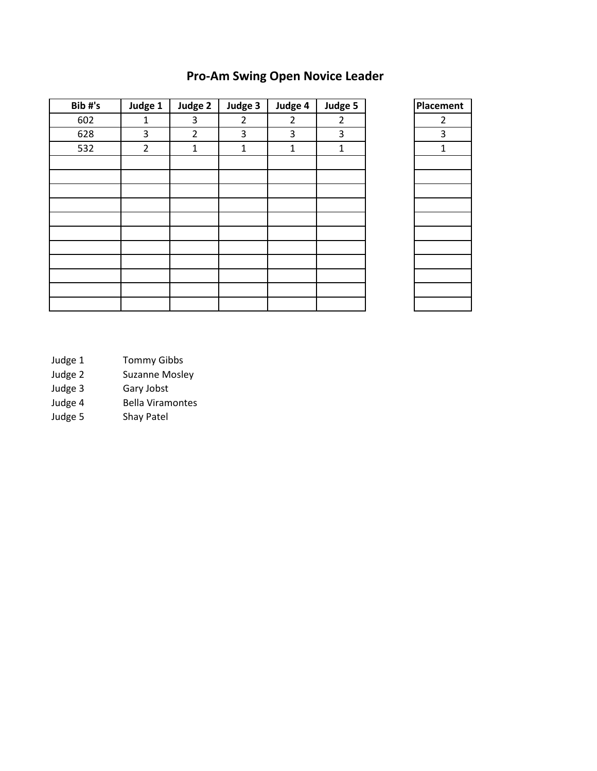### **Pro-Am Swing Open Novice Leader**

| Judge 1        | Judge 2        | Judge 3        | Judge 4        | Judge 5        | Placen         |
|----------------|----------------|----------------|----------------|----------------|----------------|
| 1              | 3              | $\overline{2}$ | $\overline{2}$ | $\overline{2}$ | $\overline{2}$ |
| 3              | $\overline{2}$ | 3              | 3              | 3              | 3              |
| $\overline{2}$ | 1              | $\mathbf{1}$   | $\mathbf{1}$   | 1              | $\mathbf{1}$   |
|                |                |                |                |                |                |
|                |                |                |                |                |                |
|                |                |                |                |                |                |
|                |                |                |                |                |                |
|                |                |                |                |                |                |
|                |                |                |                |                |                |
|                |                |                |                |                |                |
|                |                |                |                |                |                |
|                |                |                |                |                |                |
|                |                |                |                |                |                |
|                |                |                |                |                |                |
|                |                |                |                |                |                |



- Judge 1 Tommy Gibbs
- Judge 2 Suzanne Mosley<br>Judge 3 Gary Jobst
- Gary Jobst
- Judge 4 Bella Viramontes
- Judge 5 Shay Patel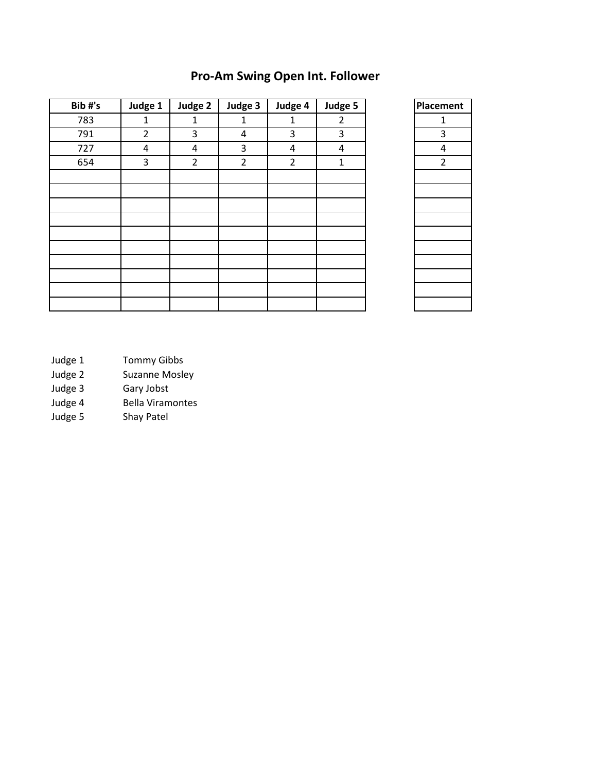### **Pro-Am Swing Open Int. Follower**

| Bib#'s | Judge 1        | Judge 2        | Judge 3        | Judge 4        | Judge 5        | Placement      |
|--------|----------------|----------------|----------------|----------------|----------------|----------------|
| 783    | 1              | $\mathbf{1}$   | 1              | $\mathbf{1}$   | $\overline{2}$ | 1              |
| 791    | $\overline{2}$ | 3              | 4              | 3              | 3              | 3              |
| 727    | 4              | 4              | 3              | $\sqrt{4}$     | 4              | 4              |
| 654    | 3              | $\overline{2}$ | $\overline{2}$ | $\overline{2}$ | $\mathbf{1}$   | $\overline{2}$ |
|        |                |                |                |                |                |                |
|        |                |                |                |                |                |                |
|        |                |                |                |                |                |                |
|        |                |                |                |                |                |                |
|        |                |                |                |                |                |                |
|        |                |                |                |                |                |                |
|        |                |                |                |                |                |                |
|        |                |                |                |                |                |                |
|        |                |                |                |                |                |                |
|        |                |                |                |                |                |                |

| <b>Placement</b> |
|------------------|
| 1                |
| 3                |
| $\overline{4}$   |
| $\frac{1}{2}$    |
|                  |
|                  |
|                  |
|                  |
|                  |
|                  |
|                  |
|                  |
|                  |
|                  |

- Judge 1 Tommy Gibbs
- Judge 2 Suzanne Mosley<br>Judge 3 Gary Jobst
- Gary Jobst
- Judge 4 Bella Viramontes
- Judge 5 Shay Patel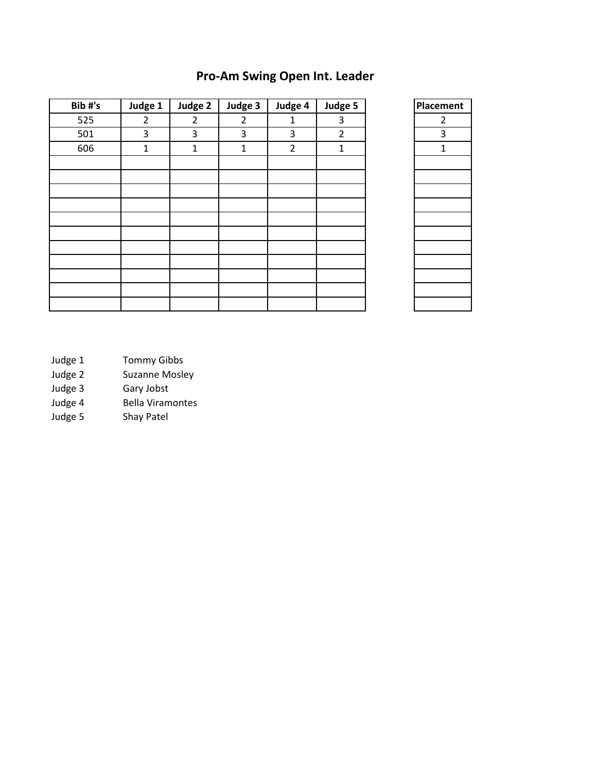### **Pro-Am Swing Open Int. Leader**

| Judge 1        | Judge 2        | Judge 3        | Judge 4        | Judge 5        | Placen         |
|----------------|----------------|----------------|----------------|----------------|----------------|
| $\overline{2}$ | $\overline{2}$ | $\overline{2}$ | $\mathbf{1}$   | 3              | $\overline{2}$ |
| 3              | 3              | 3              | 3              | $\overline{2}$ | 3              |
| $\mathbf{1}$   | $\mathbf{1}$   | $\mathbf{1}$   | $\overline{2}$ | $\mathbf{1}$   | $\mathbf{1}$   |
|                |                |                |                |                |                |
|                |                |                |                |                |                |
|                |                |                |                |                |                |
|                |                |                |                |                |                |
|                |                |                |                |                |                |
|                |                |                |                |                |                |
|                |                |                |                |                |                |
|                |                |                |                |                |                |
|                |                |                |                |                |                |
|                |                |                |                |                |                |
|                |                |                |                |                |                |
|                |                |                |                |                |                |



- Judge 1 Tommy Gibbs
- Judge 2 Suzanne Mosley<br>Judge 3 Gary Jobst
- Gary Jobst
- Judge 4 Bella Viramontes
- Judge 5 Shay Patel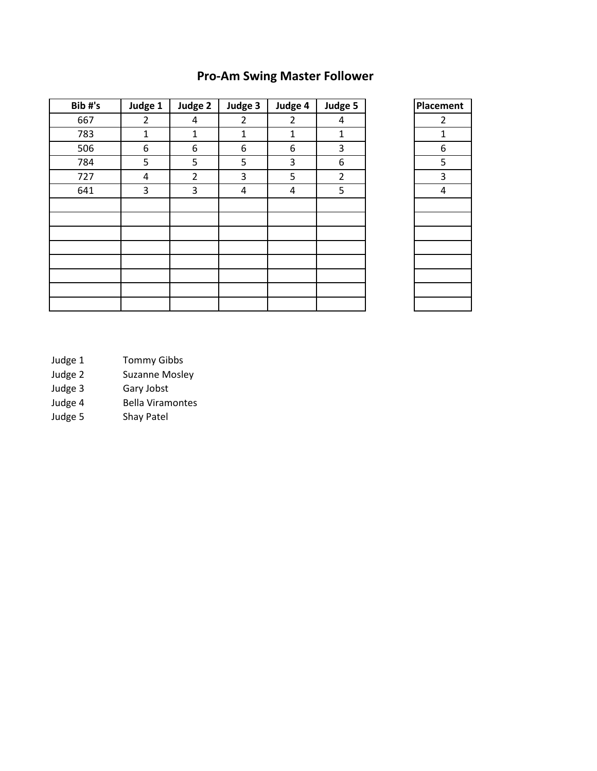## **Pro-Am Swing Master Follower**

| Bib#'s | Judge 1        | Judge 2        | Judge 3 | Judge 4        | Judge 5        | Placement      |
|--------|----------------|----------------|---------|----------------|----------------|----------------|
| 667    | $\overline{2}$ | 4              | 2       | $\overline{2}$ | 4              | $\overline{2}$ |
| 783    | $\mathbf{1}$   | $\mathbf{1}$   | 1       | $\mathbf{1}$   | $\mathbf{1}$   | 1              |
| 506    | 6              | 6              | 6       | 6              | 3              | 6              |
| 784    | 5              | 5              | 5       | 3              | 6              | 5              |
| 727    | 4              | $\overline{2}$ | 3       | 5              | $\overline{2}$ | 3              |
| 641    | 3              | 3              | 4       | 4              | 5              | 4              |
|        |                |                |         |                |                |                |
|        |                |                |         |                |                |                |
|        |                |                |         |                |                |                |
|        |                |                |         |                |                |                |
|        |                |                |         |                |                |                |
|        |                |                |         |                |                |                |
|        |                |                |         |                |                |                |
|        |                |                |         |                |                |                |

| Placement      |
|----------------|
| $\overline{c}$ |
| 1              |
| 6              |
| 5              |
| $\frac{3}{1}$  |
| $\overline{4}$ |
|                |
|                |
|                |
|                |
|                |
|                |
|                |
|                |

- Judge 1 Tommy Gibbs
- Judge 2 Suzanne Mosley<br>Judge 3 Gary Jobst
- Gary Jobst
- Judge 4 Bella Viramontes<br>Judge 5 Shay Patel
- Shay Patel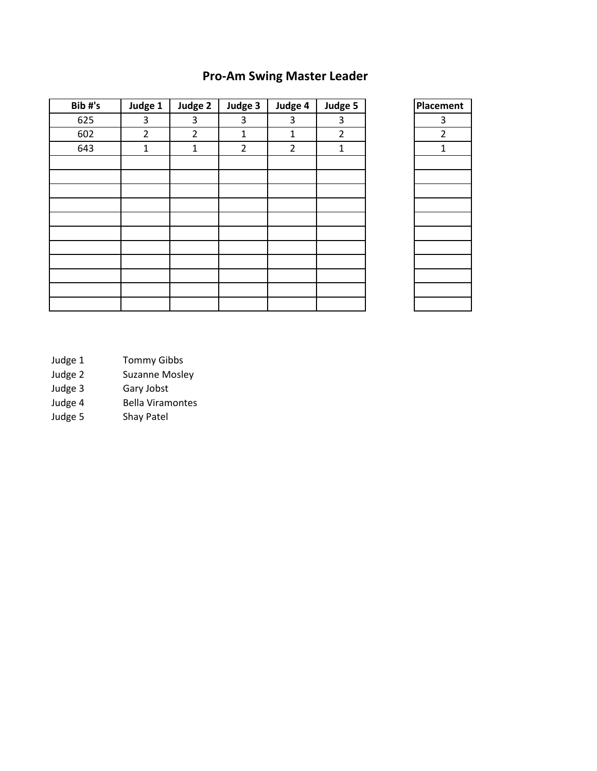### **Pro-Am Swing Master Leader**

| Bib#'s | Judge 1        | Judge 2        | Judge 3        | Judge 4        | Judge 5        | Placement |
|--------|----------------|----------------|----------------|----------------|----------------|-----------|
| 625    | 3              | 3              | 3              | 3              | 3              |           |
| 602    | $\overline{2}$ | $\overline{2}$ | $\mathbf{1}$   | $\mathbf{1}$   | $\overline{2}$ |           |
| 643    | $\mathbf 1$    | $\mathbf{1}$   | $\overline{2}$ | $\overline{2}$ | $\mathbf{1}$   |           |
|        |                |                |                |                |                |           |
|        |                |                |                |                |                |           |
|        |                |                |                |                |                |           |
|        |                |                |                |                |                |           |
|        |                |                |                |                |                |           |
|        |                |                |                |                |                |           |
|        |                |                |                |                |                |           |
|        |                |                |                |                |                |           |
|        |                |                |                |                |                |           |
|        |                |                |                |                |                |           |
|        |                |                |                |                |                |           |

| Placement      |  |  |  |
|----------------|--|--|--|
| 3              |  |  |  |
| $\overline{c}$ |  |  |  |
| $\overline{1}$ |  |  |  |
|                |  |  |  |
|                |  |  |  |
|                |  |  |  |
|                |  |  |  |
|                |  |  |  |
|                |  |  |  |
|                |  |  |  |
|                |  |  |  |
|                |  |  |  |
|                |  |  |  |
|                |  |  |  |

- Judge 1 Tommy Gibbs
- Judge 2 Suzanne Mosley<br>Judge 3 Gary Jobst
- Gary Jobst
- Judge 4 Bella Viramontes
- Judge 5 Shay Patel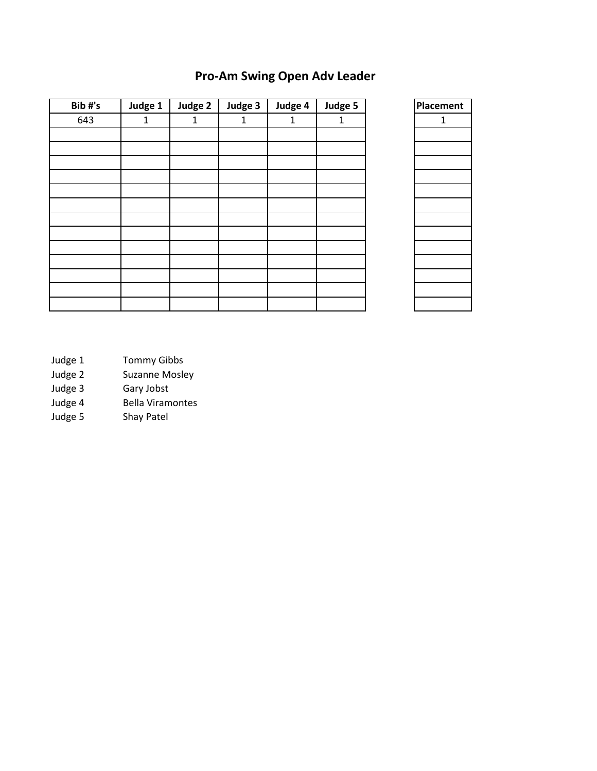### **Pro-Am Swing Open Adv Leader**

| Bib#'s | Judge 1      | Judge 2 | Judge 3 | Judge 4      | Judge 5 |
|--------|--------------|---------|---------|--------------|---------|
| 643    | $\mathbf{1}$ | 1       | 1       | $\mathbf{1}$ | 1       |
|        |              |         |         |              |         |
|        |              |         |         |              |         |
|        |              |         |         |              |         |
|        |              |         |         |              |         |
|        |              |         |         |              |         |
|        |              |         |         |              |         |
|        |              |         |         |              |         |
|        |              |         |         |              |         |
|        |              |         |         |              |         |
|        |              |         |         |              |         |
|        |              |         |         |              |         |
|        |              |         |         |              |         |
|        |              |         |         |              |         |
|        |              |         |         |              |         |
|        |              |         |         |              |         |

| Placement   |
|-------------|
| $\mathbf 1$ |
|             |
|             |
|             |
|             |
|             |
|             |
|             |
|             |
|             |
|             |
|             |
|             |
|             |

- Judge 1 Tommy Gibbs
- Judge 2 Suzanne Mosley<br>Judge 3 Gary Jobst
- Gary Jobst
- Judge 4 Bella Viramontes
- Judge 5 Shay Patel